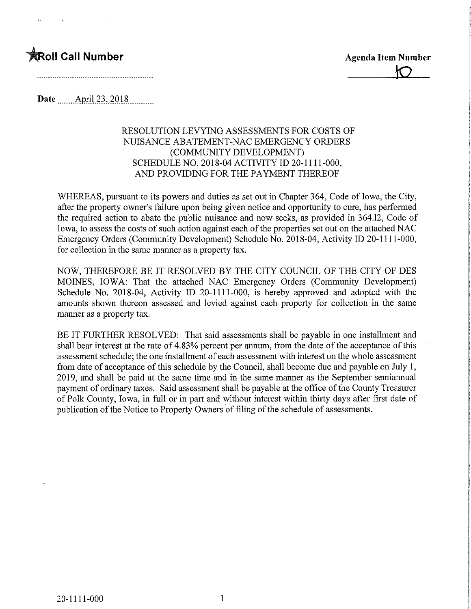

 $\sigma$ 

Date..\_...April.23,.2Q.1.8

### RESOLUTION LEVYING ASSESSMENTS FOR COSTS OF NUISANCE ABATEMENT-NAC EMERGENCY ORDERS (COMMUNITY DEVELOPMENT) SCHEDULE NO. 2018-04 ACTIVITY ID 20-1111-000, AND PROVIDING FOR THE PAYMENT THEREOF

WHEREAS, pursuant to its powers and duties as set out in Chapter 364, Code of Iowa, the City, after the property owner's failure upon being given notice and opportunity to cure, has performed the required action to abate the public nuisance and now seeks, as provided in 364.12, Code of Iowa, to assess the costs of such action against each of the properties set out on the attached NAC Emergency Orders (Community Development) Schedule No. 2018-04, Activity ID 20-11 11-000, for collection in the same manner as a property tax.

NOW, THEREFORE BE IT RESOLVED BY THE CITY COUNCIL OF THE CITY OF DES MOINES, IOWA: That the attached NAC Emergency Orders (Community Development) Schedule No. 2018-04, Activity ID 20-1111-000, is hereby approved and adopted with the amounts shown thereon assessed and levied against each property for collection in the same manner as a property tax.

BE IT FURTHER RESOLVED: That said assessments shall be payable in one installment and shall bear interest at the rate of 4.83% percent per annum, from the date of the acceptance of this assessment schedule; the one installment of each assessment with interest on the whole assessment from date of acceptance of this schedule by the Council, shall become due and payable on July 1, 2019, and shall be paid at the same time and in the same manner as the September semiannual payment of ordinary taxes. Said assessment shall be payable at the office of the County Treasurer of Polk County, Iowa, in full or in part and without interest within thirty days after first date of publication of the Notice to Property Owners of filing of the schedule of assessments.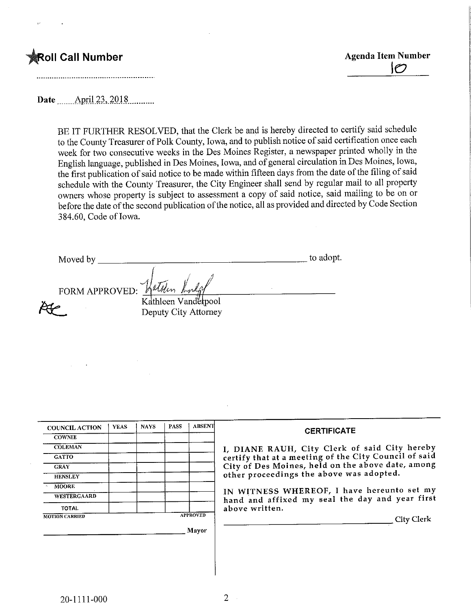**toll Call Number Agents Contained Agents Agents Agents Agents Agents Agents Agents Agents Agents Agents Agents** \M

Date <sub>...</sub>....April 23, 2018 ..........

BE IT FURTHER RESOLVED, that the Clerk be and is hereby directed to certify said schedule to the County Treasurer of Polk County, Iowa, and to publish notice of said certification once each week for two consecutive weeks in the Des Moines Register, a newspaper printed wholly in the English language, published in Des Moines, Iowa, and of general circulation in Des Moines, Iowa, the first publication of said notice to be made within fifteen days from the date of the filing of said schedule with the County Treasurer, the City Engineer shall send by regular mail to all property owners whose property is subject to assessment a copy of said notice, said mailing to be on or before the date of the second publication of the notice, all as provided and directed by Code Section 3 84.60, Code of Iowa.

Moved by to adopt.

FORM APPROVED:

Kathleen Vanderpool Deputy City Attorney

Willin

| <b>COUNCIL ACTION</b> | <b>YEAS</b> | <b>NAYS</b> | <b>PASS</b> | <b>ABSENT</b>   | <b>CERTIFICATE</b>                                    |
|-----------------------|-------------|-------------|-------------|-----------------|-------------------------------------------------------|
| <b>COWNIE</b>         |             |             |             |                 |                                                       |
| <b>COLEMAN</b>        |             |             |             |                 | I, DIANE RAUH, City Clerk of said City hereby         |
| <b>GATTO</b>          |             |             |             |                 | certify that at a meeting of the City Council of said |
| <b>GRAY</b>           |             |             |             |                 | City of Des Moines, held on the above date, among     |
| <b>HENSLEY</b>        |             |             |             |                 | other proceedings the above was adopted.              |
| <b>MOORE</b>          |             |             |             |                 | IN WITNESS WHEREOF, I have hereunto set my            |
| <b>WESTERGAARD</b>    |             |             |             |                 | hand and affixed my seal the day and year first       |
| <b>TOTAL</b>          |             |             |             |                 | above written.                                        |
| <b>MOTION CARRIED</b> |             |             |             | <b>APPROVED</b> | <b>City Clerk</b>                                     |
|                       |             |             |             | Mayor           |                                                       |
|                       |             |             |             |                 |                                                       |
|                       |             |             |             |                 |                                                       |
|                       |             |             |             |                 |                                                       |
|                       |             |             |             |                 |                                                       |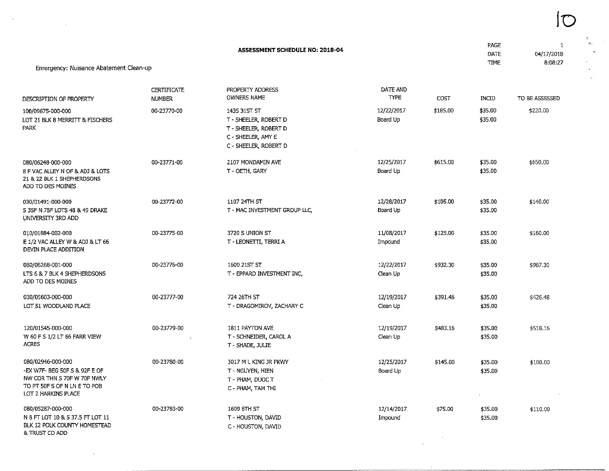| Emergency: Nuisance Abatement Clean-up                                                                                                   |                                     | ASSESSMENT SCHEDULE NO: 2018-04                                                                               |                         |          | <b>PAGE</b><br>DATE<br><b>TIME</b> | 1<br>04/17/2018<br>8:08:27 |
|------------------------------------------------------------------------------------------------------------------------------------------|-------------------------------------|---------------------------------------------------------------------------------------------------------------|-------------------------|----------|------------------------------------|----------------------------|
| DESCRIPTION OF PROPERTY                                                                                                                  | <b>CERTIFICATE</b><br><b>NUMBER</b> | PROPERTY ADDRESS<br><b>OWNERS NAME</b>                                                                        | DATE AND<br><b>TYPE</b> | COST     | INCID                              | TO BE ASSESSED             |
| 100/09675-000-000<br>LOT 21 BLK 8 MERRITT & FISCHERS<br>PARK                                                                             | 00-23770-00                         | 1435 31ST ST<br>T - SHEELER, ROBERT D<br>T - SHEELER, ROBERT D<br>C - SHEELER, AMY E<br>C - SHEELER, ROBERT D | 12/22/2017<br>Board Up  | \$185.00 | \$35.00<br>\$35.00                 | \$220.00                   |
| 080/06248-000-000<br>8 F VAC ALLEY N OF & ADJ & LOTS<br>21 & 22 BLK 1 SHEPHERDSONS<br>ADD TO DES MOINES                                  | 00-23771-00                         | 2107 MONDAMIN AVE<br>T - OETH, GARY                                                                           | 12/25/2017<br>Board Up  | \$615.00 | \$35.00<br>\$35.00                 | \$650.00                   |
| 030/01491-000-000<br>5 35F N 75F LOTS 48 & 49 DRAKE<br>UNIVERSITY 3RD ADD                                                                | 00-23772-00                         | 1107 24TH ST<br>T - MAC INVESTMENT GROUP LLC,                                                                 | 12/28/2017<br>Board Up  | \$105.00 | \$35.00<br>\$35.00                 | \$140.00                   |
| 010/01884-002-000<br>E 1/2 VAC ALLEY W & ADJ & LT 66<br>DEVIN PLACE ADDITION                                                             | 00-23775-00                         | 3720 S UNION ST<br>T - LEONETTI, TERRI A                                                                      | 11/08/2017<br>Impound   | \$125.00 | \$35.00<br>\$35.00                 | \$160.00                   |
| 080/06268-001-000<br>LTS 6 & 7 BLK 4 SHEPHERDSONS<br>ADD TO DES MOINES                                                                   | 00-23776-00                         | 1600 21ST ST<br>T - EPPARD INVESTMENT INC,                                                                    | 12/22/2017<br>Clean Up  | \$932.30 | \$35.00<br>\$35.00                 | \$967.30                   |
| 030/05603-000-000<br>LOT 51 WOODLAND PLACE                                                                                               | 00-23777-00                         | 724 26TH ST<br>T - DRAGOMIROV, ZACHARY C                                                                      | 12/19/2017<br>Clean Up  | \$391.48 | \$35.00<br>\$35.00                 | \$426.48                   |
| 120/01545-000-000<br>W 60 F S 1/2 LT 66 FARR VIEW<br><b>ACRES</b>                                                                        | 00-23779-00                         | 1811 PAYTON AVE<br>T - SCHNEIDER, CAROL A<br>T - SHADE, JULIE                                                 | 12/19/2017<br>Clean Up  | \$483.16 | \$35.00<br>\$35.00                 | \$518.16                   |
| 080/02946-000-000<br>-EX W7F- BEG 50F S & 92F E OF<br>NW COR THN S 70F W 70F NWLY<br>TO PT 50F S OF N LN E TO POB<br>LOT 2 HARKINS PLACE | 00-23780-00                         | 3017 M L KING JR PKWY<br>T - NGUYEN, HIEN<br>T - PHAM, DUOC T<br>C - PHAM, TAM THI                            | 12/25/2017<br>Board Up  | \$145.00 | \$35.00<br>\$35.00                 | \$180.00                   |
| 080/05287-000-000<br>N 8 FT LOT 10 & S 37.5 FT LOT 11<br>BLK 12 POLK COUNTY HOMESTEAD<br>& TRUST CO ADD                                  | 00-23783-00                         | 1609 8TH ST<br>T - HOUSTON, DAVID<br>C - HOUSTON, DAVID                                                       | 12/14/2017<br>Impound   | \$75.00  | \$35.00<br>\$35.00                 | \$110.00                   |

 $\label{eq:2.1} \frac{1}{\sqrt{2}}\sum_{i=1}^n\frac{1}{\sqrt{2\pi}}\sum_{i=1}^n\frac{1}{\sqrt{2\pi}}\sum_{i=1}^n\frac{1}{\sqrt{2\pi}}\sum_{i=1}^n\frac{1}{\sqrt{2\pi}}\sum_{i=1}^n\frac{1}{\sqrt{2\pi}}\sum_{i=1}^n\frac{1}{\sqrt{2\pi}}\sum_{i=1}^n\frac{1}{\sqrt{2\pi}}\sum_{i=1}^n\frac{1}{\sqrt{2\pi}}\sum_{i=1}^n\frac{1}{\sqrt{2\pi}}\sum_{i=1}^n\frac{$ 

 $\mathcal{L}^{\text{max}}(\mathbf{X})$  , where  $\mathcal{L}^{\text{max}}(\mathbf{X})$ 

 $\sim$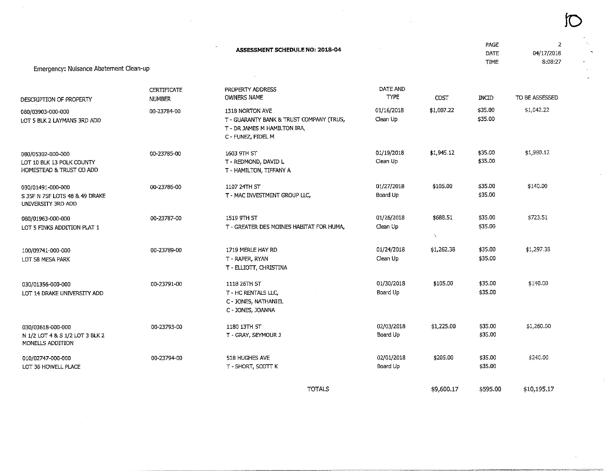| Emergency: Nuisance Abatement Clean-up                                     |                                     | <b>ASSESSMENT SCHEDULE NO: 2018-04</b>                                                                            |                         |                          | PAGE<br>DATE<br><b>TIME</b> | 2<br>04/17/2018<br>8:08:27 |
|----------------------------------------------------------------------------|-------------------------------------|-------------------------------------------------------------------------------------------------------------------|-------------------------|--------------------------|-----------------------------|----------------------------|
|                                                                            |                                     |                                                                                                                   |                         |                          |                             |                            |
| DESCRIPTION OF PROPERTY                                                    | <b>CERTIFICATE</b><br><b>NUMBER</b> | PROPERTY ADDRESS<br><b>OWNERS NAME</b>                                                                            | DATE AND<br><b>TYPE</b> | COST                     | <b>INCID</b>                | TO BE ASSESSED             |
| 080/03903-000-000<br>LOT 5 BLK 2 LAYMANS 3RD ADD                           | 00-23784-00                         | 1318 NORTON AVE<br>T - GUARANTY BANK & TRUST COMPANY (TRUS,<br>T - DR JAMES M HAMILTON IRA,<br>C - FUNEZ, FIDEL M | 01/16/2018<br>Clean Up  | \$1,007.22               | \$35.00<br>\$35.00          | \$1,042.22                 |
| 080/05302-000-000<br>LOT 10 BLK 13 POLK COUNTY<br>HOMESTEAD & TRUST CO ADD | 00-23785-00                         | 1603 9TH ST<br>T - REDMOND, DAVID L<br>T - HAMILTON, TIFFANY A                                                    | 01/19/2018<br>Clean Up  | \$1,945.12               | \$35.00<br>\$35.00          | \$1,980.12                 |
| 030/01491-000-000<br>S 35F N 75F LOTS 48 & 49 DRAKE<br>UNIVERSITY 3RD ADD  | 00-23786-00                         | 1107 24TH ST<br>T - MAC INVESTMENT GROUP LLC,                                                                     | 01/27/2018<br>Board Up  | \$105.00                 | \$35.00<br>\$35.00          | \$140.00                   |
| 080/01963-000-000<br>LOT 5 FINKS ADDITION PLAT 1                           | 00-23787-00                         | 1519 9TH ST<br>T - GREATER DES MOINES HABITAT FOR HUMA,                                                           | 01/26/2018<br>Clean Up  | \$688.51<br>$\mathbf{V}$ | \$35.00<br>\$35.00          | \$723.51                   |
| 100/09741-000-000<br>LOT 58 MESA PARK                                      | 00-23789-00                         | 1719 MERLE HAY RD<br>T - RAPER, RYAN<br>T - ELLIOTT, CHRISTINA                                                    | 01/24/2018<br>Clean Up  | \$1,262.38               | \$35.00<br>\$35.00          | \$1,297.38                 |
| 030/01356-000-000<br>LOT 14 DRAKE UNIVERSITY ADD                           | 00-23791-00                         | 1118 26TH ST<br>T - HC RENTALS LLC,<br>C - JONES, NATHANIEL<br>C - JONES, JOANNA                                  | 01/30/2018<br>Board Up  | \$105.00                 | \$35.00<br>\$35.00          | \$140.00                   |
| 030/03618-000-000<br>N 1/2 LOT 4 & S 1/2 LOT 3 BLK 2<br>MONELLS ADDITION   | 00-23793-00                         | 1180 13TH ST<br>T - GRAY, SEYMOUR J                                                                               | 02/03/2018<br>Board Up  | \$1,225.00               | \$35.00<br>\$35.00          | \$1,260.00                 |
| 010/02747-000-000<br>LOT 36 HOWELL PLACE                                   | 00-23794-00                         | 518 HUGHES AVE<br>T - SHORT, SCOTT K                                                                              | 02/01/2018<br>Board Up  | \$205.00                 | \$35.00<br>\$35.00          | \$240.00                   |
|                                                                            |                                     | <b>TOTALS</b>                                                                                                     |                         | \$9,600.17               | \$595.00                    | \$10,195.17                |

 $\label{eq:2.1} \mathcal{L}(\mathcal{L}^{\text{max}}_{\mathcal{L}}(\mathcal{L}^{\text{max}}_{\mathcal{L}}(\mathcal{L}^{\text{max}}_{\mathcal{L}}(\mathcal{L}^{\text{max}}_{\mathcal{L}^{\text{max}}_{\mathcal{L}}(\mathcal{L}^{\text{max}}_{\mathcal{L}^{\text{max}}_{\mathcal{L}^{\text{max}}_{\mathcal{L}^{\text{max}}_{\mathcal{L}^{\text{max}}_{\mathcal{L}^{\text{max}}_{\mathcal{L}^{\text{max}}_{\mathcal{L}^{\text{max}}_{\mathcal{L}^{\text{max}}$ 

 $\mathcal{L}(\mathcal{L}^{\mathcal{L}})$  and  $\mathcal{L}(\mathcal{L}^{\mathcal{L}})$  and  $\mathcal{L}(\mathcal{L}^{\mathcal{L}})$  and  $\mathcal{L}(\mathcal{L}^{\mathcal{L}})$ 

!0

 $\sim 10^{11}$ 

 $\alpha$  .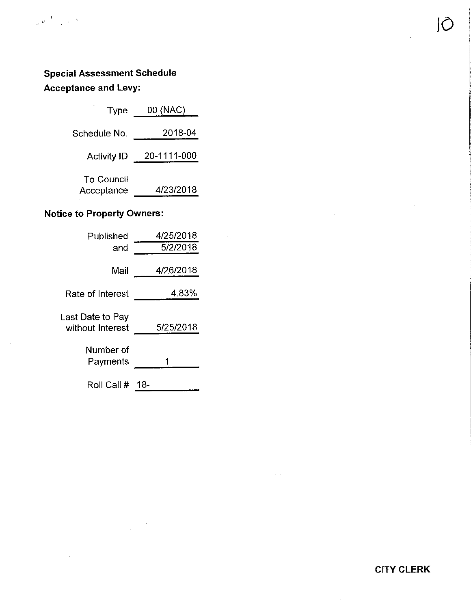## Special Assessment Schedule Acceptance and Levy:

| Type                     | 00 (NAC)    |
|--------------------------|-------------|
| Schedule No.             | 2018-04     |
| <b>Activity ID</b>       | 20-1111-000 |
| To Council<br>Acceptance | 4/23/2018   |
|                          |             |

## Notice to Property Owners:

| Published                            | 4/25/2018 |
|--------------------------------------|-----------|
| and                                  | 5/2/2018  |
| Mail                                 | 4/26/2018 |
|                                      |           |
| Rate of Interest                     | 4.83%     |
| ast Date to Pay∟<br>without Interest | 5/25/2018 |
| Number of<br>Payments                |           |
| Roll Call #                          | 18-       |

CITY CLERK

 $\cup$ 

 $\sim 10^{-10}$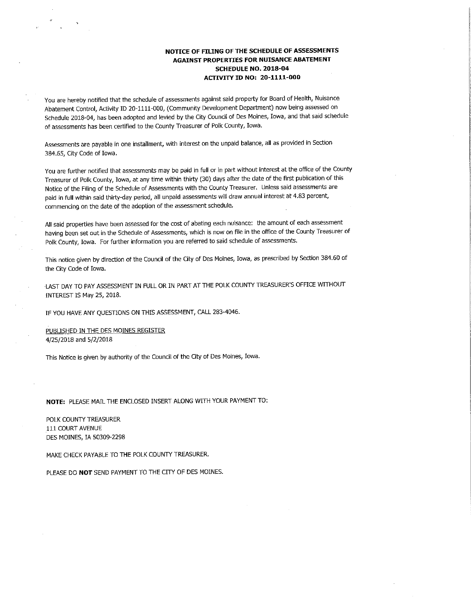#### NOTICE OF FILING OF THE SCHEDULE OF ASSESSMENTS AGAINST PROPERTIES FOR NUISANCE ABATEMENT SCHEDULE NO. 2018-04 ACTIVITY ID NO: 20-1111-000

You are hereby notified that the schedule of assessments against said property for Board of Health, Nuisance Abatement Control, Activity ID 20-1111-000, (Community Development Department) now being assessed on Schedule 2018-04, has been adopted and levied by the City Council of Des Moines, Iowa, and that said schedule of assessments has been certified to the County Treasurer of Polk County, Iowa.

Assessments are payable in one installment, with interest on the unpaid balance, all as provided in Section 384.65, City Code of Iowa.

You are further notified that assessments may be paid in full or in part without interest at the office of the County Treasurer of Polk County, Iowa, at any time within thirty (30) days after the date of the first publication of this Notice of the Filing of the Schedule of Assessments with the County Treasurer. Unless said assessments are paid in full within said thirty-day period, all unpaid assessments will draw annual interest at 4.83 percent, commencing on the date of the adoption of the assessment schedule.

All said properties have been assessed for the cost of abating each nuisance: the amount of each assessment having been set out in the Schedule of Assessments, which is now on file in the office of the County Treasurer of Polk County, Iowa. For further information you are referred to said schedule of assessments.

This notice given by direction of the Council of the City of Des Moines, Iowa, as prescribed by Section 384.60 of the City Code of Iowa.

•LAST DAY TO PAY ASSESSMENT IN FULL OR IN PART AT THE POLK COUNTY TREASURER'S OFFICE WFTHOUT INTEREST IS May 25, 2018.

IF YOU HAVE ANY QUESTIONS ON THIS ASSESSMENT, CALL 283-4046.

PUBLISHED IN THE DES MOINES REGISTER 4/25/2018 and 5/2/2018

This Notice is given by authority of the Council of the City of Des Moines, Iowa.

NOTE: PLEASE MAIL THE ENCLOSED INSERT ALONG WFTH YOUR PAYMENT TO:

POLK COUNTY TREASURER Ill COURT AVENUE DES MOINES, IA 50309-2298

MAKE CHECK PAYABLE TO THE POLK COUNTY TREASURER.

PLEASE DO NOT SEND PAYMENT TO THE CITY OF DES MOINES.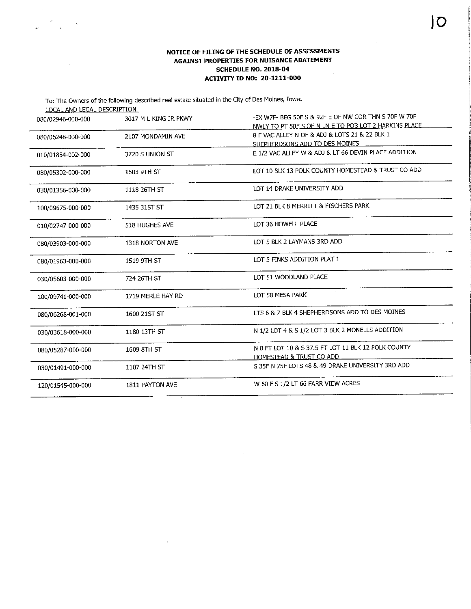#### NOTICE OF FILING OF THE SCHEDULE OF ASSESSMENTS AGAINST PROPERTIES FOR NUISANCE ABATEMENT SCHEDULE NO. 2018-04  $\hat{\mathcal{A}}$ AOTIVFTY TD NO: 20-1111-000

 $\sim$ 

 $\sim$   $_{\star}$ 

 $\overline{\phantom{a}}$ 

L

| LOCAL AND LEGAL DESCRIPTION | To: The Owners of the following described real estate situated in the City of Des Moines, Iowa: |                                                       |
|-----------------------------|-------------------------------------------------------------------------------------------------|-------------------------------------------------------|
| 080/02946-000-000           | 3017 M L KING JR PKWY                                                                           | -EX W7F- BEG 50F S & 92F E OF NW COR THN S 70F W 70F  |
|                             |                                                                                                 | NWLY TO PT 50F S OF N LN E TO POB LOT 2 HARKINS PLACE |
| 080/06248-000-000           | 2107 MONDAMIN AVE                                                                               | 8 F VAC ALLEY N OF & ADJ & LOTS 21 & 22 BLK 1         |
|                             |                                                                                                 | SHEPHERDSONS ADD TO DES MOINES                        |
| 010/01884-002-000           | 3720 S UNION ST                                                                                 | E 1/2 VAC ALLEY W & ADJ & LT 66 DEVIN PLACE ADDITION  |
| 080/05302-000-000           | 1603 9TH ST                                                                                     | LOT 10 BLK 13 POLK COUNTY HOMESTEAD & TRUST CO ADD    |
| 030/01356-000-000           | 1118 26TH ST                                                                                    | LOT 14 DRAKE UNIVERSITY ADD                           |
| 100/09675-000-000           | 1435 31ST ST                                                                                    | LOT 21 BLK 8 MERRITT & FISCHERS PARK                  |
| 010/02747-000-000           | <b>518 HUGHES AVE</b>                                                                           | LOT 36 HOWELL PLACE                                   |
| 080/03903-000-000           | 1318 NORTON AVE                                                                                 | LOT 5 BLK 2 LAYMANS 3RD ADD                           |
| 080/01963-000-000           | 1519 9TH ST                                                                                     | LOT 5 FINKS ADDITION PLAT 1                           |
| 030/05603-000-000           | 724 26TH ST                                                                                     | LOT 51 WOODLAND PLACE                                 |
| 100/09741-000-000           | 1719 MERLE HAY RD                                                                               | LOT 58 MESA PARK                                      |
| 080/06268-001-000           | 1600 21ST ST                                                                                    | LTS 6 & 7 BLK 4 SHEPHERDSONS ADD TO DES MOINES        |
| 030/03618-000-000           | 1180 13TH ST                                                                                    | N 1/2 LOT 4 & S 1/2 LOT 3 BLK 2 MONELLS ADDITION      |
| 080/05287-000-000           | 1609 8TH ST                                                                                     | N 8 FT LOT 10 & S 37.5 FT LOT 11 BLK 12 POLK COUNTY   |
|                             |                                                                                                 | HOMESTEAD & TRUST CO ADD                              |
| 030/01491-000-000           | 1107 24TH ST                                                                                    | S 35F N 75F LOTS 48 & 49 DRAKE UNIVERSITY 3RD ADD     |
| 120/01545-000-000           | 1811 PAYTON AVE                                                                                 | W 60 F S 1/2 LT 66 FARR VIEW ACRES                    |

 $\sim$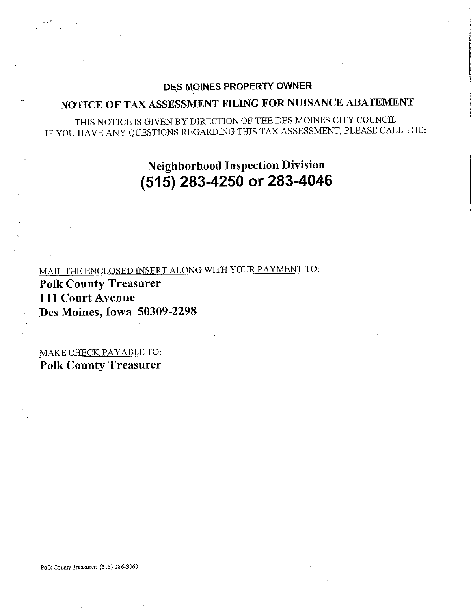### DES MOINES PROPERTY OWNER

## NOTICE OF TAX ASSESSMENT FILING FOR NUISANCE ABATEMENT

THIS NOTICE IS GWEN BY DIRECTION OF THE DES MOINES CITY COUNCIL IF YOU HAVE ANY QUESTIONS REGARDING THIS TAX ASSESSMENT, PLEASE CALL THE:

> Neighborhood Inspection Division (515) 283-4250 or 283-4046

MAIL THE ENCLOSED INSERT ALONG WITH YOUR PAYMENT TO: Polk County Treasurer Ill Court Avenue Des Moines, Iowa 50309-2298

MAKE CHECK PAYABLE TO: Polk County Treasurer

Polk County Treasurer: (515) 286-3060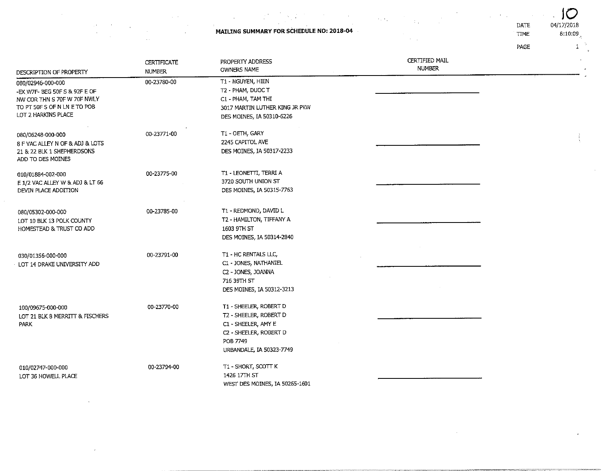MAILING SUMMARY FOR SCHEDULE NO: 2018-04

. L

 $\sim$ 

 $\sim$ 

 $\alpha$ 

 $\sim$ 

 $\alpha$  .

 $\sim 10^{11}$  and  $\sim 10^{11}$ 

 $\langle\hat{\Psi}_{\rm eff}\rangle$ 

 $\sim$ 

 $\alpha\in\mathbb{Z}^2$ 

 $\sim 400$ 

 $\sim$ 

 $\label{eq:2} \begin{split} \frac{\partial}{\partial t} &\frac{\partial}{\partial t} \left( \frac{\partial}{\partial t} \right) = \frac{1}{2} \left( \frac{\partial}{\partial t} \right) \frac{\partial}{\partial t} \left( \frac{\partial}{\partial t} \right) \frac{\partial}{\partial t} \left( \frac{\partial}{\partial t} \right) \frac{\partial}{\partial t} \left( \frac{\partial}{\partial t} \right) \frac{\partial}{\partial t} \frac{\partial}{\partial t} \frac{\partial}{\partial t} \frac{\partial}{\partial t} \frac{\partial}{\partial t} \frac{\partial}{\partial t} \frac{\partial}{\partial t} \frac{\partial}{\partial t} \frac{\partial}{\partial$ 

 $\mathcal{L}$ 

IME  $10<sub>04/17/2018</sub>$  $8:10:09$ 

 $\,$   $\,$   $\,$ 

 $\gamma$  $\hat{\mathbf{v}}$ 

 $\sim$ 

| DESCRIPTION OF PROPERTY                                                                                                                  | <b>CERTIFICATE</b><br><b>NUMBER</b> | PROPERTY ADDRESS<br><b>OWNERS NAME</b>                                                                                                    | <b>CERTIFIED MAIL</b><br><b>NUMBER</b> |  |
|------------------------------------------------------------------------------------------------------------------------------------------|-------------------------------------|-------------------------------------------------------------------------------------------------------------------------------------------|----------------------------------------|--|
| 080/02946-000-000<br>-EX W7F- BEG 50F S & 92F E OF<br>NW COR THN S 70F W 70F NWLY<br>TO PT 50F S OF N LN E TO POB<br>LOT 2 HARKINS PLACE | 00-23780-00                         | T1 - NGUYEN, HIEN<br>T2 - PHAM, DUOC T<br>C1 - PHAM, TAM THI<br>3017 MARTIN LUTHER KING JR PKW<br>DES MOINES, IA 50310-6226               |                                        |  |
| 080/06248-000-000<br>8 F VAC ALLEY N OF & ADJ & LOTS<br>21 & 22 BLK 1 SHEPHERDSONS<br>ADD TO DES MOINES                                  | 00-23771-00                         | T1 - OETH, GARY<br>2245 CAPITOL AVE<br>DES MOINES, IA 50317-2233                                                                          |                                        |  |
| 010/01884-002-000<br>E 1/2 VAC ALLEY W & ADJ & LT 66<br>DEVIN PLACE ADDITION                                                             | 00-23775-00                         | T1 - LEONETTI, TERRI A<br>3720 SOUTH UNION ST<br>DES MOINES, IA 50315-7763                                                                |                                        |  |
| 080/05302-000-000<br>LOT 10 BLK 13 POLK COUNTY<br>HOMESTEAD & TRUST CO ADD                                                               | 00-23785-00                         | T1 - REDMOND, DAVID L<br>T2 - HAMILTON, TIFFANY A<br>1603 9TH ST<br>DES MOINES, IA 50314-2840                                             |                                        |  |
| 030/01356-000-000<br>LOT 14 DRAKE UNIVERSITY ADD                                                                                         | 00-23791-00                         | T1 - HC RENTALS LLC,<br>C1 - JONES, NATHANIEL<br>C2 - JONES, JOANNA<br>716 39TH ST<br>DES MOINES, IA 50312-3213                           |                                        |  |
| 100/09675-000-000<br>LOT 21 BLK 8 MERRITT & FISCHERS<br>PARK                                                                             | 00-23770-00                         | T1 - SHEELER, ROBERT D<br>T2 - SHEELER, ROBERT D<br>C1 - SHEELER, AMY E<br>C2 - SHEELER, ROBERT D<br>POB 7749<br>URBANDALE, IA 50323-7749 |                                        |  |
| 010/02747-000-000<br>LOT 36 HOWELL PLACE                                                                                                 | 00-23794-00                         | T1 - SHORT, SCOTT K<br>1426 17TH ST<br>WEET BEC MOTHER TA FOOST 1501                                                                      |                                        |  |

WEST DES MOINES, IN 30265-1601

 $\hat{f}$  and  $\hat{f}$ 

PAGE

 $\mathcal{A}=\mathcal{A}$  .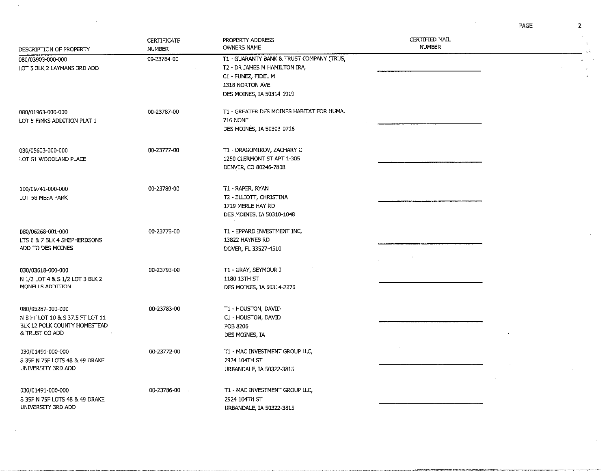PAGE

 $\mathcal{A}^{\text{max}}_{\text{max}}$ 

 $\frac{1}{2}$ 

| DESCRIPTION OF PROPERTY                                                                                 | <b>CERTIFICATE</b><br><b>NUMBER</b> | PROPERTY ADDRESS<br><b>OWNERS NAME</b>                                                                                                            | CERTIFIED MAIL<br><b>NUMBER</b> | $\mathcal{N}_{\rm eff}$ |
|---------------------------------------------------------------------------------------------------------|-------------------------------------|---------------------------------------------------------------------------------------------------------------------------------------------------|---------------------------------|-------------------------|
| 080/03903-000-000<br>LOT 5 BLK 2 LAYMANS 3RD ADD                                                        | 00-23784-00                         | T1 - GUARANTY BANK & TRUST COMPANY (TRUS,<br>T2 - DR JAMES M HAMILTON IRA,<br>C1 - FUNEZ, FIDEL M<br>1318 NORTON AVE<br>DES MOINES, IA 50314-1919 |                                 |                         |
| 080/01963-000-000<br>LOT 5 FINKS ADDITION PLAT 1                                                        | 00-23787-00                         | T1 - GREATER DES MOINES HABITAT FOR HUMA,<br><b>716 NONE</b><br>DES MOINES, IA 50303-0716                                                         |                                 |                         |
| 030/05603-000-000<br>LOT 51 WOODLAND PLACE                                                              | 00-23777-00                         | T1 - DRAGOMIROV, ZACHARY C<br>1250 CLERMONT ST APT 1-305<br>DENVER, CO 80246-7808                                                                 |                                 |                         |
| 100/09741-000-000<br>LOT 58 MESA PARK                                                                   | 00-23789-00                         | T1 - RAPER, RYAN<br>T2 - ELLIOTT, CHRISTINA<br>1719 MERLE HAY RD<br>DES MOINES, IA 50310-1048                                                     |                                 |                         |
| 080/06268-001-000<br>LTS 6 & 7 BLK 4 SHEPHERDSONS<br>ADD TO DES MOINES                                  | 00-23776-00                         | T1 - EPPARD INVESTMENT INC,<br>13822 HAYNES RD<br>DOVER, FL 33527-4510                                                                            |                                 |                         |
| 030/03618-000-000<br>N 1/2 LOT 4 & S 1/2 LOT 3 BLK 2<br>MONELLS ADDITION                                | 00-23793-00                         | T1 - GRAY, SEYMOUR J<br>1180 13TH ST<br>DES MOINES, IA 50314-2276                                                                                 |                                 |                         |
| 080/05287-000-000<br>N 8 FT LOT 10 & S 37.5 FT LOT 11<br>BLK 12 POLK COUNTY HOMESTEAD<br>& TRUST CO ADD | 00-23783-00                         | T1 - HOUSTON, DAVID<br>C1 - HOUSTON, DAVID<br>POB 8206<br>DES MOINES, IA                                                                          |                                 |                         |
| 030/01491-000-000<br>S 35F N 75F LOTS 48 & 49 DRAKE<br>UNIVERSITY 3RD ADD                               | 00-23772-00                         | T1 - MAC INVESTMENT GROUP LLC,<br>2924 104TH ST<br>URBANDALE, IA 50322-3815                                                                       |                                 |                         |
| 030/01491-000-000<br>S 35F N 75F LOTS 48 & 49 DRAKE<br>UNIVERSITY 3RD ADD                               | 00-23786-00                         | T1 - MAC INVESTMENT GROUP LLC,<br>2924 104TH ST<br>URBANDALE, IA 50322-3815                                                                       |                                 |                         |

 $\sim$ 

 $\sim 10$ 

 $\sim 10^7$ 

 $\vert 2 \rangle$